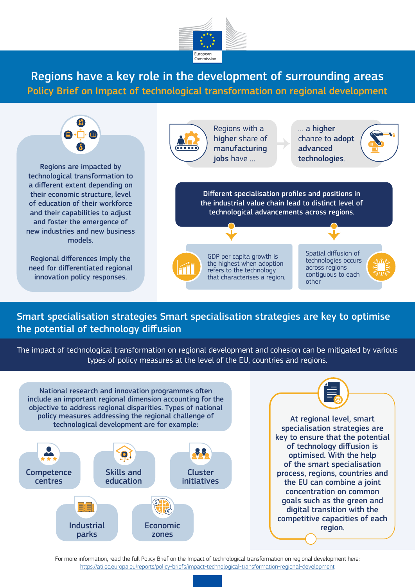

Regions have a key role in the development of surrounding areas Policy Brief on Impact of technological transformation on regional development



Smart specialisation strategies Smart specialisation strategies are key to optimise the potential of technology diffusion

The impact of technological transformation on regional development and cohesion can be mitigated by various types of policy measures at the level of the EU, countries and regions.



For more information, read the full Policy Brief on the Impact of technological transformation on regional development here: <https://ati.ec.europa.eu/reports/policy-briefs/impact-technological-transformation-regional-development>